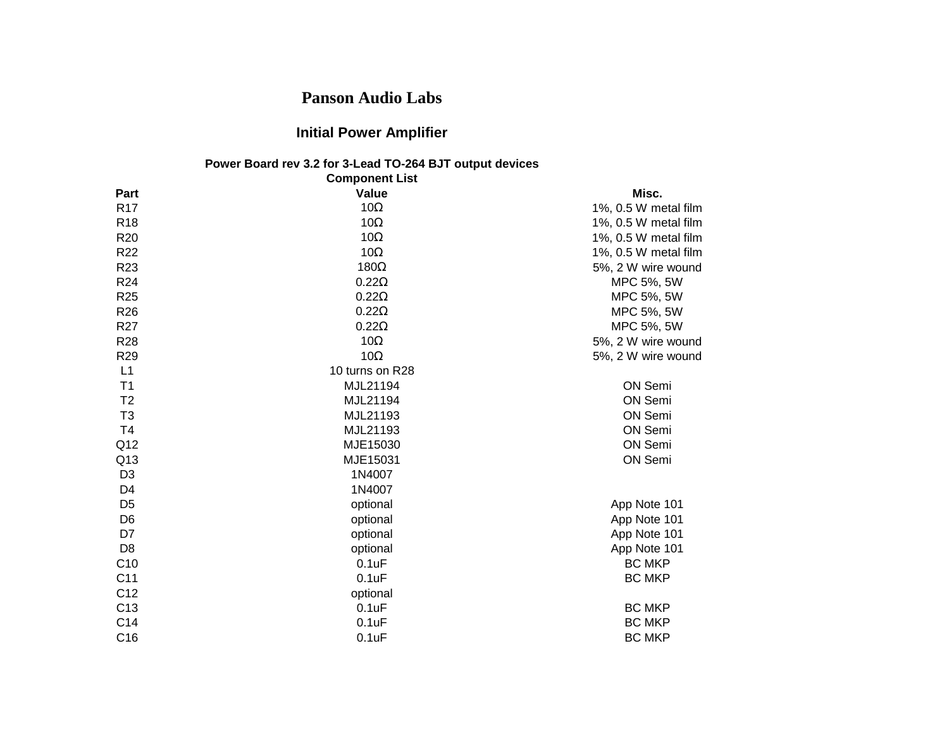## **Panson Audio Labs**

## **Initial Power Amplifier**

## **Power Board rev 3.2 for 3-Lead TO-264 BJT output devices Component List**

| <b>Component List</b> |                 |                      |  |
|-----------------------|-----------------|----------------------|--|
| Part                  | Value           | Misc.                |  |
| R <sub>17</sub>       | 10 $\Omega$     | 1%, 0.5 W metal film |  |
| R <sub>18</sub>       | 10 $\Omega$     | 1%, 0.5 W metal film |  |
| R <sub>20</sub>       | $10\Omega$      | 1%, 0.5 W metal film |  |
| R <sub>22</sub>       | $10\Omega$      | 1%, 0.5 W metal film |  |
| R <sub>23</sub>       | 180 $\Omega$    | 5%, 2 W wire wound   |  |
| R <sub>24</sub>       | $0.22\Omega$    | MPC 5%, 5W           |  |
| R <sub>25</sub>       | $0.22\Omega$    | MPC 5%, 5W           |  |
| R <sub>26</sub>       | $0.22\Omega$    | MPC 5%, 5W           |  |
| R <sub>27</sub>       | $0.22\Omega$    | MPC 5%, 5W           |  |
| R28                   | 10 $\Omega$     | 5%, 2 W wire wound   |  |
| R <sub>29</sub>       | $10\Omega$      | 5%, 2 W wire wound   |  |
| L1                    | 10 turns on R28 |                      |  |
| T <sub>1</sub>        | MJL21194        | ON Semi              |  |
| T <sub>2</sub>        | MJL21194        | ON Semi              |  |
| T <sub>3</sub>        | MJL21193        | ON Semi              |  |
| T <sub>4</sub>        | MJL21193        | ON Semi              |  |
| Q <sub>12</sub>       | MJE15030        | ON Semi              |  |
| Q13                   | MJE15031        | ON Semi              |  |
| D <sub>3</sub>        | 1N4007          |                      |  |
| D4                    | 1N4007          |                      |  |
| D <sub>5</sub>        | optional        | App Note 101         |  |
| D <sub>6</sub>        | optional        | App Note 101         |  |
| D7                    | optional        | App Note 101         |  |
| D <sub>8</sub>        | optional        | App Note 101         |  |
| C10                   | 0.1uF           | <b>BC MKP</b>        |  |
| C <sub>11</sub>       | 0.1uF           | <b>BC MKP</b>        |  |
| C12                   | optional        |                      |  |
| C <sub>13</sub>       | 0.1uF           | <b>BC MKP</b>        |  |
| C14                   | 0.1uF           | <b>BC MKP</b>        |  |
| C16                   | 0.1uF           | <b>BC MKP</b>        |  |